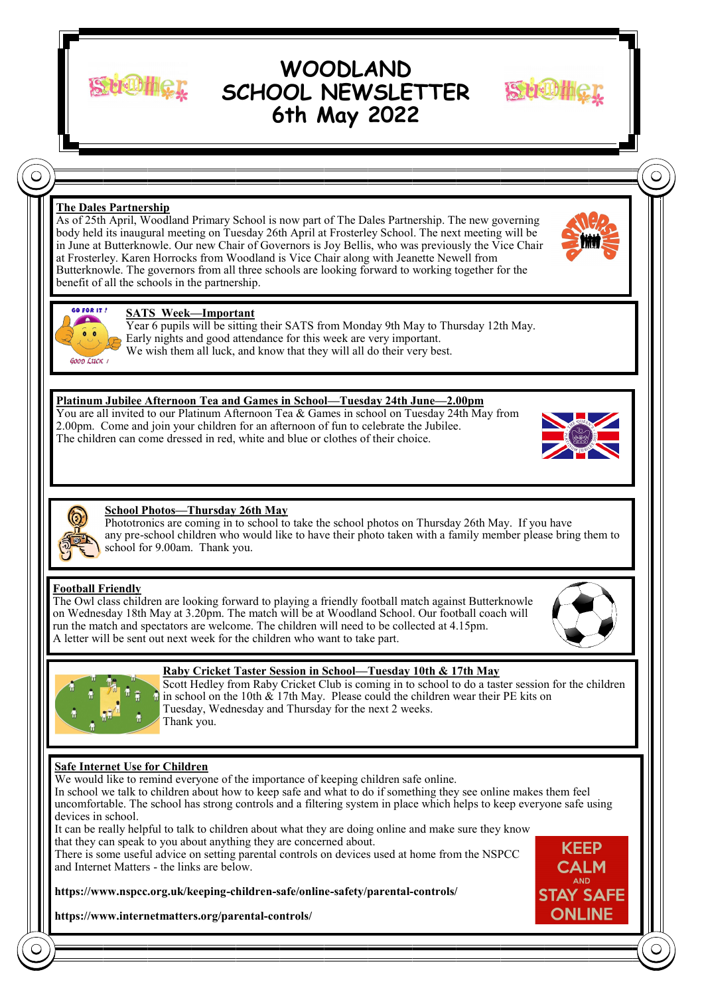**WOODLAND SCHOOL NEWSLETTER 6th May 2022**

**The Dales Partnership**

As of 25th April, Woodland Primary School is now part of The Dales Partnership. The new governing body held its inaugural meeting on Tuesday 26th April at Frosterley School. The next meeting will be in June at Butterknowle. Our new Chair of Governors is Joy Bellis, who was previously the Vice Chair at Frosterley. Karen Horrocks from Woodland is Vice Chair along with Jeanette Newell from Butterknowle. The governors from all three schools are looking forward to working together for the benefit of all the schools in the partnership.





 $\subset$ 

## **SATS Week—Important**

Year 6 pupils will be sitting their SATS from Monday 9th May to Thursday 12th May. Early nights and good attendance for this week are very important. We wish them all luck, and know that they will all do their very best.

## **Platinum Jubilee Afternoon Tea and Games in School—Tuesday 24th June—2.00pm**

You are all invited to our Platinum Afternoon Tea & Games in school on Tuesday 24th May from 2.00pm. Come and join your children for an afternoon of fun to celebrate the Jubilee. The children can come dressed in red, white and blue or clothes of their choice.





# **School Photos—Thursday 26th May**

Phototronics are coming in to school to take the school photos on Thursday 26th May. If you have any pre-school children who would like to have their photo taken with a family member please bring them to school for 9.00am. Thank you.

# **Football Friendly**

The Owl class children are looking forward to playing a friendly football match against Butterknowle on Wednesday 18th May at 3.20pm. The match will be at Woodland School. Our football coach will run the match and spectators are welcome. The children will need to be collected at 4.15pm. A letter will be sent out next week for the children who want to take part.





# **Raby Cricket Taster Session in School—Tuesday 10th & 17th May**

Scott Hedley from Raby Cricket Club is coming in to school to do a taster session for the children in school on the 10th  $& 17$ th May. Please could the children wear their PE kits on Tuesday, Wednesday and Thursday for the next 2 weeks. Thank you.

# **Safe Internet Use for Children**

We would like to remind everyone of the importance of keeping children safe online.

In school we talk to children about how to keep safe and what to do if something they see online makes them feel uncomfortable. The school has strong controls and a filtering system in place which helps to keep everyone safe using devices in school.

It can be really helpful to talk to children about what they are doing online and make sure they know that they can speak to you about anything they are concerned about.

There is some useful advice on setting parental controls on devices used at home from the NSPCC and Internet Matters - the links are below.





**https://www.internetmatters.org/parental-controls/**